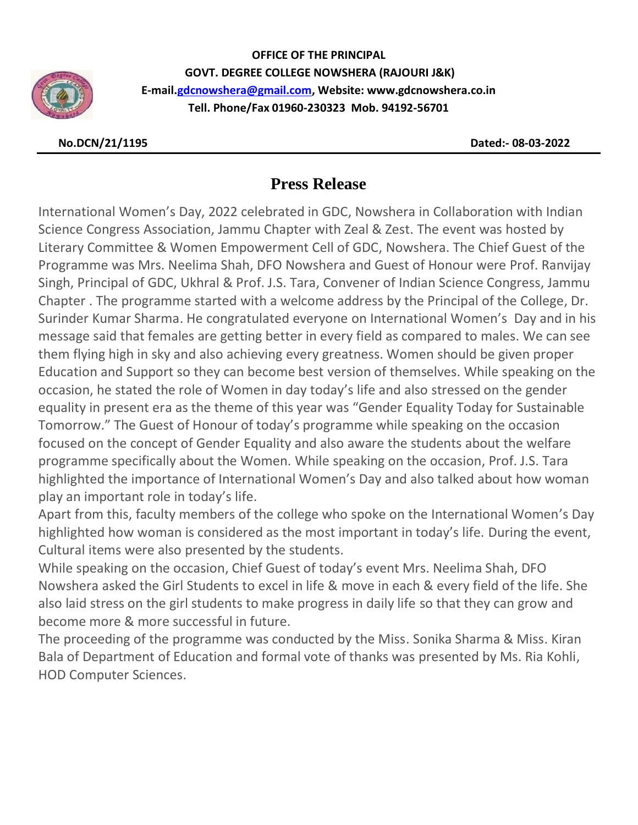

**OFFICE OF THE PRINCIPAL GOVT. DEGREE COLLEGE NOWSHERA (RAJOURI J&K) E-mail[.gdcnowshera@gmail.com,](mailto:gdcnowshera@gmail.com) Website: www.gdcnowshera.co.in Tell. Phone/Fax 01960-230323 Mob. 94192-56701**

 **No.DCN/21/1195 Dated:- 08-03-2022**

## **Press Release**

International Women's Day, 2022 celebrated in GDC, Nowshera in Collaboration with Indian Science Congress Association, Jammu Chapter with Zeal & Zest. The event was hosted by Literary Committee & Women Empowerment Cell of GDC, Nowshera. The Chief Guest of the Programme was Mrs. Neelima Shah, DFO Nowshera and Guest of Honour were Prof. Ranvijay Singh, Principal of GDC, Ukhral & Prof. J.S. Tara, Convener of Indian Science Congress, Jammu Chapter . The programme started with a welcome address by the Principal of the College, Dr. Surinder Kumar Sharma. He congratulated everyone on International Women's Day and in his message said that females are getting better in every field as compared to males. We can see them flying high in sky and also achieving every greatness. Women should be given proper Education and Support so they can become best version of themselves. While speaking on the occasion, he stated the role of Women in day today's life and also stressed on the gender equality in present era as the theme of this year was "Gender Equality Today for Sustainable Tomorrow." The Guest of Honour of today's programme while speaking on the occasion focused on the concept of Gender Equality and also aware the students about the welfare programme specifically about the Women. While speaking on the occasion, Prof. J.S. Tara highlighted the importance of International Women's Day and also talked about how woman play an important role in today's life.

Apart from this, faculty members of the college who spoke on the International Women's Day highlighted how woman is considered as the most important in today's life. During the event, Cultural items were also presented by the students.

While speaking on the occasion, Chief Guest of today's event Mrs. Neelima Shah, DFO Nowshera asked the Girl Students to excel in life & move in each & every field of the life. She also laid stress on the girl students to make progress in daily life so that they can grow and become more & more successful in future.

The proceeding of the programme was conducted by the Miss. Sonika Sharma & Miss. Kiran Bala of Department of Education and formal vote of thanks was presented by Ms. Ria Kohli, HOD Computer Sciences.